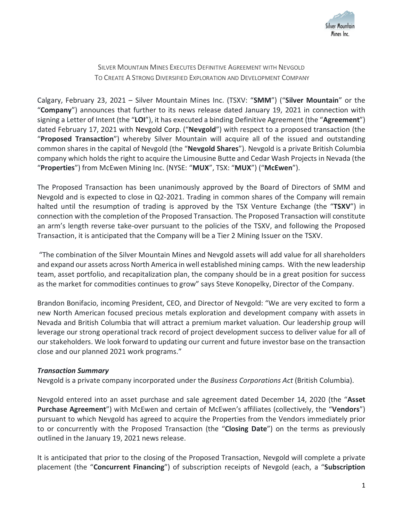

SILVER MOUNTAIN MINES EXECUTES DEFINITIVE AGREEMENT WITH NEVGOLD TO CREATE A STRONG DIVERSIFIED EXPLORATION AND DEVELOPMENT COMPANY

Calgary, February 23, 2021 – Silver Mountain Mines Inc. (TSXV: "**SMM**") ("**Silver Mountain**" or the "**Company**") announces that further to its news release dated January 19, 2021 in connection with signing a Letter of Intent (the "**LOI**"), it has executed a binding Definitive Agreement (the "**Agreement**") dated February 17, 2021 with Nevgold Corp. ("**Nevgold**") with respect to a proposed transaction (the "**Proposed Transaction**") whereby Silver Mountain will acquire all of the issued and outstanding common shares in the capital of Nevgold (the "**Nevgold Shares**"). Nevgold is a private British Columbia company which holds the right to acquire the Limousine Butte and Cedar Wash Projects in Nevada (the "**Properties**") from McEwen Mining Inc. (NYSE: "**MUX**", TSX: "**MUX**") ("**McEwen**").

The Proposed Transaction has been unanimously approved by the Board of Directors of SMM and Nevgold and is expected to close in Q2-2021. Trading in common shares of the Company will remain halted until the resumption of trading is approved by the TSX Venture Exchange (the "**TSXV**") in connection with the completion of the Proposed Transaction. The Proposed Transaction will constitute an arm's length reverse take-over pursuant to the policies of the TSXV, and following the Proposed Transaction, it is anticipated that the Company will be a Tier 2 Mining Issuer on the TSXV.

 "The combination of the Silver Mountain Mines and Nevgold assets will add value for all shareholders and expand our assets across North America in well established mining camps. With the new leadership team, asset portfolio, and recapitalization plan, the company should be in a great position for success as the market for commodities continues to grow" says Steve Konopelky, Director of the Company.

Brandon Bonifacio, incoming President, CEO, and Director of Nevgold: "We are very excited to form a new North American focused precious metals exploration and development company with assets in Nevada and British Columbia that will attract a premium market valuation. Our leadership group will leverage our strong operational track record of project development success to deliver value for all of our stakeholders. We look forward to updating our current and future investor base on the transaction close and our planned 2021 work programs."

### *Transaction Summary*

Nevgold is a private company incorporated under the *Business Corporations Act* (British Columbia).

Nevgold entered into an asset purchase and sale agreement dated December 14, 2020 (the "**Asset Purchase Agreement**") with McEwen and certain of McEwen's affiliates (collectively, the "**Vendors**") pursuant to which Nevgold has agreed to acquire the Properties from the Vendors immediately prior to or concurrently with the Proposed Transaction (the "**Closing Date**") on the terms as previously outlined in the January 19, 2021 news release.

It is anticipated that prior to the closing of the Proposed Transaction, Nevgold will complete a private placement (the "**Concurrent Financing**") of subscription receipts of Nevgold (each, a "**Subscription**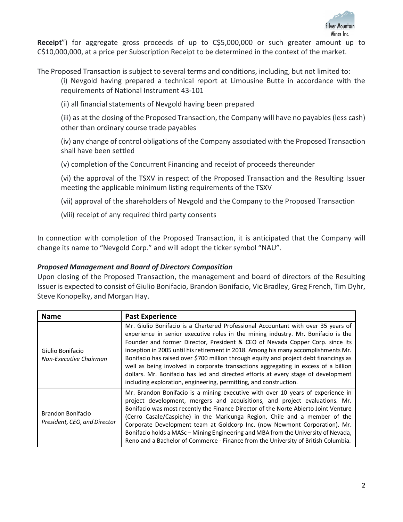

Receipt") for aggregate gross proceeds of up to C\$5,000,000 or such greater amount up to C\$10,000,000, at a price per Subscription Receipt to be determined in the context of the market.

The Proposed Transaction is subject to several terms and conditions, including, but not limited to:

(i) Nevgold having prepared a technical report at Limousine Butte in accordance with the requirements of National Instrument 43-101

(ii) all financial statements of Nevgold having been prepared

(iii) as at the closing of the Proposed Transaction, the Company will have no payables (less cash) other than ordinary course trade payables

(iv) any change of control obligations of the Company associated with the Proposed Transaction shall have been settled

(v) completion of the Concurrent Financing and receipt of proceeds thereunder

(vi) the approval of the TSXV in respect of the Proposed Transaction and the Resulting Issuer meeting the applicable minimum listing requirements of the TSXV

(vii) approval of the shareholders of Nevgold and the Company to the Proposed Transaction

(viii) receipt of any required third party consents

In connection with completion of the Proposed Transaction, it is anticipated that the Company will change its name to "Nevgold Corp." and will adopt the ticker symbol "NAU".

### *Proposed Management and Board of Directors Composition*

Upon closing of the Proposed Transaction, the management and board of directors of the Resulting Issuer is expected to consist of Giulio Bonifacio, Brandon Bonifacio, Vic Bradley, Greg French, Tim Dyhr, Steve Konopelky, and Morgan Hay.

| <b>Name</b>                                       | <b>Past Experience</b>                                                                                                                                                                                                                                                                                                                                                                                                                                                                                                                                                                                                                                                                  |  |  |  |
|---------------------------------------------------|-----------------------------------------------------------------------------------------------------------------------------------------------------------------------------------------------------------------------------------------------------------------------------------------------------------------------------------------------------------------------------------------------------------------------------------------------------------------------------------------------------------------------------------------------------------------------------------------------------------------------------------------------------------------------------------------|--|--|--|
| Giulio Bonifacio<br>Non-Executive Chairman        | Mr. Giulio Bonifacio is a Chartered Professional Accountant with over 35 years of<br>experience in senior executive roles in the mining industry. Mr. Bonifacio is the<br>Founder and former Director, President & CEO of Nevada Copper Corp. since its<br>inception in 2005 until his retirement in 2018. Among his many accomplishments Mr.<br>Bonifacio has raised over \$700 million through equity and project debt financings as<br>well as being involved in corporate transactions aggregating in excess of a billion<br>dollars. Mr. Bonifacio has led and directed efforts at every stage of development<br>including exploration, engineering, permitting, and construction. |  |  |  |
| Brandon Bonifacio<br>President, CEO, and Director | Mr. Brandon Bonifacio is a mining executive with over 10 years of experience in<br>project development, mergers and acquisitions, and project evaluations. Mr.<br>Bonifacio was most recently the Finance Director of the Norte Abierto Joint Venture<br>(Cerro Casale/Caspiche) in the Maricunga Region, Chile and a member of the<br>Corporate Development team at Goldcorp Inc. (now Newmont Corporation). Mr.<br>Bonifacio holds a MASc – Mining Engineering and MBA from the University of Nevada,<br>Reno and a Bachelor of Commerce - Finance from the University of British Columbia.                                                                                           |  |  |  |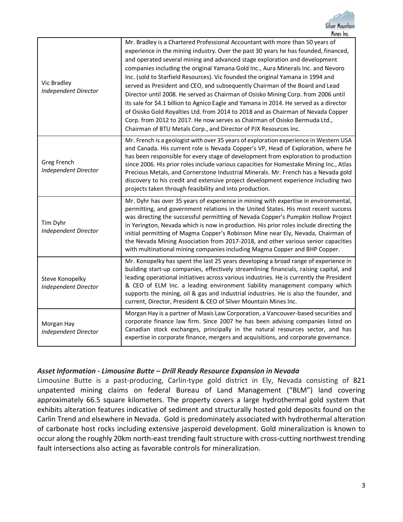| Vic Bradley<br><b>Independent Director</b>     | Mr. Bradley is a Chartered Professional Accountant with more than 50 years of<br>experience in the mining industry. Over the past 30 years he has founded, financed,<br>and operated several mining and advanced stage exploration and development<br>companies including the original Yamana Gold Inc., Aura Minerals Inc. and Nevoro<br>Inc. (sold to Starfield Resources). Vic founded the original Yamana in 1994 and<br>served as President and CEO, and subsequently Chairman of the Board and Lead<br>Director until 2008. He served as Chairman of Osisko Mining Corp. from 2006 until<br>its sale for \$4.1 billion to Agnico Eagle and Yamana in 2014. He served as a director<br>of Osisko Gold Royalties Ltd. from 2014 to 2018 and as Chairman of Nevada Copper<br>Corp. from 2012 to 2017. He now serves as Chairman of Osisko Bermuda Ltd.,<br>Chairman of BTU Metals Corp., and Director of PJX Resources Inc. |
|------------------------------------------------|--------------------------------------------------------------------------------------------------------------------------------------------------------------------------------------------------------------------------------------------------------------------------------------------------------------------------------------------------------------------------------------------------------------------------------------------------------------------------------------------------------------------------------------------------------------------------------------------------------------------------------------------------------------------------------------------------------------------------------------------------------------------------------------------------------------------------------------------------------------------------------------------------------------------------------|
| Greg French<br>Independent Director            | Mr. French is a geologist with over 35 years of exploration experience in Western USA<br>and Canada. His current role is Nevada Copper's VP, Head of Exploration, where he<br>has been responsible for every stage of development from exploration to production<br>since 2006. His prior roles include various capacities for Homestake Mining Inc., Atlas<br>Precious Metals, and Cornerstone Industrial Minerals. Mr. French has a Nevada gold<br>discovery to his credit and extensive project development experience including two<br>projects taken through feasibility and into production.                                                                                                                                                                                                                                                                                                                             |
| Tim Dyhr<br><b>Independent Director</b>        | Mr. Dyhr has over 35 years of experience in mining with expertise in environmental,<br>permitting, and government relations in the United States. His most recent success<br>was directing the successful permitting of Nevada Copper's Pumpkin Hollow Project<br>in Yerington, Nevada which is now in production. His prior roles include directing the<br>initial permitting of Magma Copper's Robinson Mine near Ely, Nevada, Chairman of<br>the Nevada Mining Association from 2017-2018, and other various senior capacities<br>with multinational mining companies including Magma Copper and BHP Copper.                                                                                                                                                                                                                                                                                                                |
| Steve Konopelky<br><b>Independent Director</b> | Mr. Konopelky has spent the last 25 years developing a broad range of experience in<br>building start-up companies, effectively streamlining financials, raising capital, and<br>leading operational initiatives across various industries. He is currently the President<br>& CEO of ELM Inc. a leading environment liability management company which<br>supports the mining, oil & gas and industrial industries. He is also the founder, and<br>current, Director, President & CEO of Silver Mountain Mines Inc.                                                                                                                                                                                                                                                                                                                                                                                                           |
| Morgan Hay<br>Independent Director             | Morgan Hay is a partner of Maxis Law Corporation, a Vancouver-based securities and<br>corporate finance law firm. Since 2007 he has been advising companies listed on<br>Canadian stock exchanges, principally in the natural resources sector, and has<br>expertise in corporate finance, mergers and acquisitions, and corporate governance.                                                                                                                                                                                                                                                                                                                                                                                                                                                                                                                                                                                 |

# *Asset Information - Limousine Butte – Drill Ready Resource Expansion in Nevada*

Limousine Butte is a past-producing, Carlin-type gold district in Ely, Nevada consisting of 821 unpatented mining claims on federal Bureau of Land Management ("BLM") land covering approximately 66.5 square kilometers. The property covers a large hydrothermal gold system that exhibits alteration features indicative of sediment and structurally hosted gold deposits found on the Carlin Trend and elsewhere in Nevada. Gold is predominately associated with hydrothermal alteration of carbonate host rocks including extensive jasperoid development. Gold mineralization is known to occur along the roughly 20km north-east trending fault structure with cross-cutting northwest trending fault intersections also acting as favorable controls for mineralization.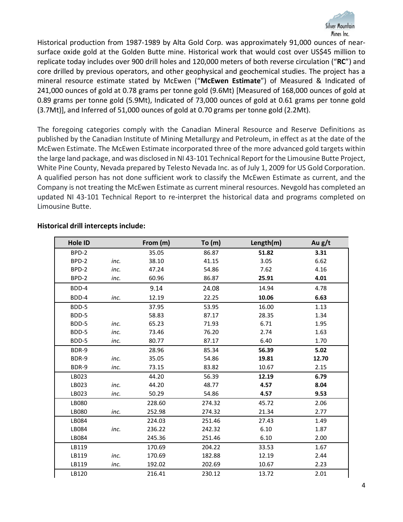

Historical production from 1987-1989 by Alta Gold Corp. was approximately 91,000 ounces of nearsurface oxide gold at the Golden Butte mine. Historical work that would cost over US\$45 million to replicate today includes over 900 drill holes and 120,000 meters of both reverse circulation ("**RC**") and core drilled by previous operators, and other geophysical and geochemical studies. The project has a mineral resource estimate stated by McEwen ("**McEwen Estimate**") of Measured & Indicated of 241,000 ounces of gold at 0.78 grams per tonne gold (9.6Mt) [Measured of 168,000 ounces of gold at 0.89 grams per tonne gold (5.9Mt), Indicated of 73,000 ounces of gold at 0.61 grams per tonne gold (3.7Mt)], and Inferred of 51,000 ounces of gold at 0.70 grams per tonne gold (2.2Mt).

The foregoing categories comply with the Canadian Mineral Resource and Reserve Definitions as published by the Canadian Institute of Mining Metallurgy and Petroleum, in effect as at the date of the McEwen Estimate. The McEwen Estimate incorporated three of the more advanced gold targets within the large land package, and was disclosed in NI 43-101 Technical Report for the Limousine Butte Project, White Pine County, Nevada prepared by Telesto Nevada Inc. as of July 1, 2009 for US Gold Corporation. A qualified person has not done sufficient work to classify the McEwen Estimate as current, and the Company is not treating the McEwen Estimate as current mineral resources. Nevgold has completed an updated NI 43-101 Technical Report to re-interpret the historical data and programs completed on Limousine Butte.

| Hole ID |      | From (m) | To(m)  | Length(m) | Au $g/t$ |
|---------|------|----------|--------|-----------|----------|
| BPD-2   |      | 35.05    | 86.87  | 51.82     | 3.31     |
| BPD-2   | inc. | 38.10    | 41.15  | 3.05      | 6.62     |
| BPD-2   | inc. | 47.24    | 54.86  | 7.62      | 4.16     |
| BPD-2   | inc. | 60.96    | 86.87  | 25.91     | 4.01     |
| BDD-4   |      | 9.14     | 24.08  | 14.94     | 4.78     |
| BDD-4   | inc. | 12.19    | 22.25  | 10.06     | 6.63     |
| BDD-5   |      | 37.95    | 53.95  | 16.00     | 1.13     |
| BDD-5   |      | 58.83    | 87.17  | 28.35     | 1.34     |
| BDD-5   | inc. | 65.23    | 71.93  | 6.71      | 1.95     |
| BDD-5   | inc. | 73.46    | 76.20  | 2.74      | 1.63     |
| BDD-5   | inc. | 80.77    | 87.17  | 6.40      | 1.70     |
| BDR-9   |      | 28.96    | 85.34  | 56.39     | 5.02     |
| BDR-9   | inc. | 35.05    | 54.86  | 19.81     | 12.70    |
| BDR-9   | inc. | 73.15    | 83.82  | 10.67     | 2.15     |
| LB023   |      | 44.20    | 56.39  | 12.19     | 6.79     |
| LB023   | inc. | 44.20    | 48.77  | 4.57      | 8.04     |
| LB023   | inc. | 50.29    | 54.86  | 4.57      | 9.53     |
| LB080   |      | 228.60   | 274.32 | 45.72     | 2.06     |
| LB080   | inc. | 252.98   | 274.32 | 21.34     | 2.77     |
| LB084   |      | 224.03   | 251.46 | 27.43     | 1.49     |
| LB084   | inc. | 236.22   | 242.32 | 6.10      | 1.87     |
| LB084   |      | 245.36   | 251.46 | 6.10      | 2.00     |
| LB119   |      | 170.69   | 204.22 | 33.53     | 1.67     |
| LB119   | inc. | 170.69   | 182.88 | 12.19     | 2.44     |
| LB119   | inc. | 192.02   | 202.69 | 10.67     | 2.23     |
| LB120   |      | 216.41   | 230.12 | 13.72     | 2.01     |

### **Historical drill intercepts include:**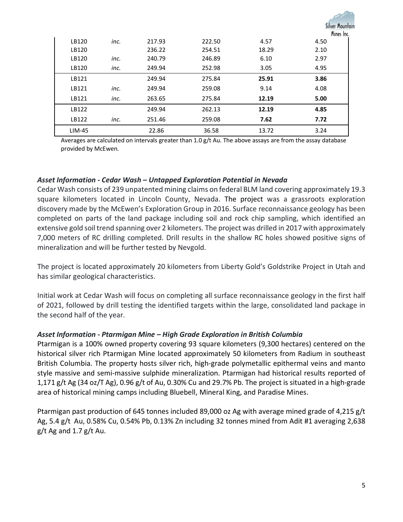|        |      |        |        |       | Silver Mounto |
|--------|------|--------|--------|-------|---------------|
|        |      |        |        |       | Mines Inc.    |
| LB120  | inc. | 217.93 | 222.50 | 4.57  | 4.50          |
| LB120  |      | 236.22 | 254.51 | 18.29 | 2.10          |
| LB120  | inc. | 240.79 | 246.89 | 6.10  | 2.97          |
| LB120  | inc. | 249.94 | 252.98 | 3.05  | 4.95          |
| LB121  |      | 249.94 | 275.84 | 25.91 | 3.86          |
| LB121  | inc. | 249.94 | 259.08 | 9.14  | 4.08          |
| LB121  | inc. | 263.65 | 275.84 | 12.19 | 5.00          |
| LB122  |      | 249.94 | 262.13 | 12.19 | 4.85          |
| LB122  | inc. | 251.46 | 259.08 | 7.62  | 7.72          |
| LIM-45 |      | 22.86  | 36.58  | 13.72 | 3.24          |

Averages are calculated on intervals greater than 1.0 g/t Au. The above assays are from the assay database provided by McEwen.

# *Asset Information - Cedar Wash – Untapped Exploration Potential in Nevada*

Cedar Wash consists of 239 unpatented mining claims on federal BLM land covering approximately 19.3 square kilometers located in Lincoln County, Nevada. The project was a grassroots exploration discovery made by the McEwen's Exploration Group in 2016. Surface reconnaissance geology has been completed on parts of the land package including soil and rock chip sampling, which identified an extensive gold soil trend spanning over 2 kilometers. The project was drilled in 2017 with approximately 7,000 meters of RC drilling completed. Drill results in the shallow RC holes showed positive signs of mineralization and will be further tested by Nevgold.

The project is located approximately 20 kilometers from Liberty Gold's Goldstrike Project in Utah and has similar geological characteristics.

Initial work at Cedar Wash will focus on completing all surface reconnaissance geology in the first half of 2021, followed by drill testing the identified targets within the large, consolidated land package in the second half of the year.

### *Asset Information - Ptarmigan Mine – High Grade Exploration in British Columbia*

Ptarmigan is a 100% owned property covering 93 square kilometers (9,300 hectares) centered on the historical silver rich Ptarmigan Mine located approximately 50 kilometers from Radium in southeast British Columbia. The property hosts silver rich, high-grade polymetallic epithermal veins and manto style massive and semi-massive sulphide mineralization. Ptarmigan had historical results reported of 1,171 g/t Ag (34 oz/T Ag), 0.96 g/t of Au, 0.30% Cu and 29.7% Pb. The project is situated in a high-grade area of historical mining camps including Bluebell, Mineral King, and Paradise Mines.

Ptarmigan past production of 645 tonnes included 89,000 oz Ag with average mined grade of 4,215 g/t Ag, 5.4 g/t Au, 0.58% Cu, 0.54% Pb, 0.13% Zn including 32 tonnes mined from Adit #1 averaging 2,638  $g/t$  Ag and 1.7  $g/t$  Au.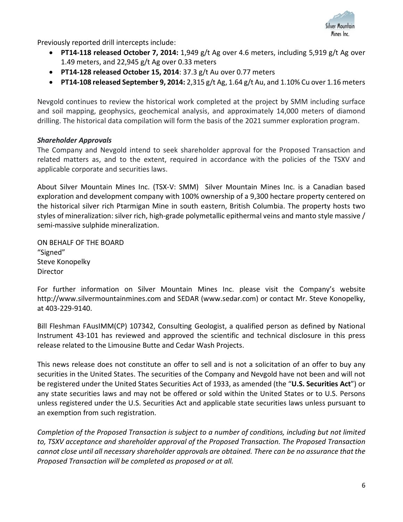

Previously reported drill intercepts include:

- **PT14-118 released October 7, 2014:** 1,949 g/t Ag over 4.6 meters, including 5,919 g/t Ag over 1.49 meters, and 22,945 g/t Ag over 0.33 meters
- **PT14-128 released October 15, 2014**: 37.3 g/t Au over 0.77 meters
- **PT14-108 released September 9, 2014:** 2,315 g/t Ag, 1.64 g/t Au, and 1.10% Cu over 1.16 meters

Nevgold continues to review the historical work completed at the project by SMM including surface and soil mapping, geophysics, geochemical analysis, and approximately 14,000 meters of diamond drilling. The historical data compilation will form the basis of the 2021 summer exploration program.

# *Shareholder Approvals*

The Company and Nevgold intend to seek shareholder approval for the Proposed Transaction and related matters as, and to the extent, required in accordance with the policies of the TSXV and applicable corporate and securities laws.

About Silver Mountain Mines Inc. (TSX-V: SMM) Silver Mountain Mines Inc. is a Canadian based exploration and development company with 100% ownership of a 9,300 hectare property centered on the historical silver rich Ptarmigan Mine in south eastern, British Columbia. The property hosts two styles of mineralization: silver rich, high-grade polymetallic epithermal veins and manto style massive / semi-massive sulphide mineralization.

ON BEHALF OF THE BOARD "Signed" Steve Konopelky Director

For further information on Silver Mountain Mines Inc. please visit the Company's website http://www.silvermountainmines.com and SEDAR (www.sedar.com) or contact Mr. Steve Konopelky, at 403-229-9140.

Bill Fleshman FAusIMM(CP) 107342, Consulting Geologist, a qualified person as defined by National Instrument 43-101 has reviewed and approved the scientific and technical disclosure in this press release related to the Limousine Butte and Cedar Wash Projects.

This news release does not constitute an offer to sell and is not a solicitation of an offer to buy any securities in the United States. The securities of the Company and Nevgold have not been and will not be registered under the United States Securities Act of 1933, as amended (the "**U.S. Securities Act**") or any state securities laws and may not be offered or sold within the United States or to U.S. Persons unless registered under the U.S. Securities Act and applicable state securities laws unless pursuant to an exemption from such registration.

*Completion of the Proposed Transaction is subject to a number of conditions, including but not limited to, TSXV acceptance and shareholder approval of the Proposed Transaction. The Proposed Transaction cannot close until all necessary shareholder approvals are obtained. There can be no assurance that the Proposed Transaction will be completed as proposed or at all.*